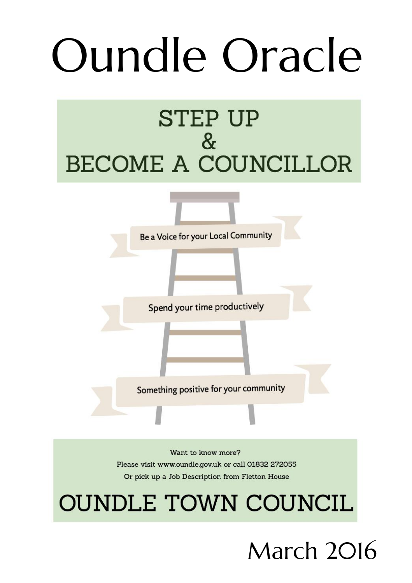# Oundle Oracle

# **STEP UP**  $8<sub>x</sub>$ **BECOME A COUNCILLOR**



Want to know more? Please visit www.oundle.gov.uk or call 01832 272055 Or pick up a Job Description from Fletton House

# **OUNDLE TOWN COUNCIL**

March 2016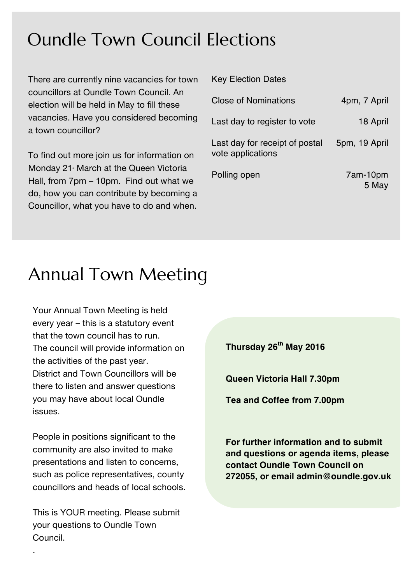### Oundle Town Council Elections

There are currently nine vacancies for town councillors at Oundle Town Council. An election will be held in May to fill these vacancies. Have you considered becoming a town councillor?

To find out more join us for information on Monday 21 March at the Queen Victoria Hall, from 7pm – 10pm. Find out what we do, how you can contribute by becoming a Councillor, what you have to do and when.

| <b>INVY LIVUIUII DUIVU</b>                          |                   |
|-----------------------------------------------------|-------------------|
| Close of Nominations                                | 4pm, 7 April      |
| Last day to register to vote                        | 18 April          |
| Last day for receipt of postal<br>vote applications | 5pm, 19 April     |
| Polling open                                        | 7am-10pm<br>5 May |

Key Election Dates

## Annual Town Meeting

Your Annual Town Meeting is held every year – this is a statutory event that the town council has to run. The council will provide information on the activities of the past year. District and Town Councillors will be there to listen and answer questions you may have about local Oundle issues.

People in positions significant to the community are also invited to make presentations and listen to concerns, such as police representatives, county councillors and heads of local schools.

This is YOUR meeting. Please submit your questions to Oundle Town Council.

.

**Thursday 26th May 2016**

**Queen Victoria Hall 7.30pm**

**Tea and Coffee from 7.00pm**

**For further information and to submit and questions or agenda items, please contact Oundle Town Council on 272055, or email admin@oundle.gov.uk**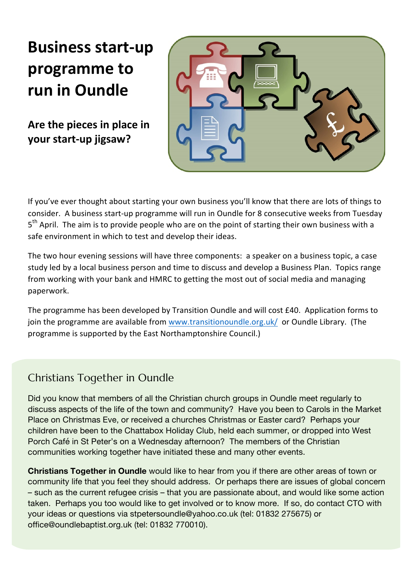## **Business start-up programme** to **run in Oundle**

Are the pieces in place in **your start-up jigsaw?**



If you've ever thought about starting your own business you'll know that there are lots of things to consider. A business start-up programme will run in Oundle for 8 consecutive weeks from Tuesday  $5<sup>th</sup>$  April. The aim is to provide people who are on the point of starting their own business with a safe environment in which to test and develop their ideas.

The two hour evening sessions will have three components: a speaker on a business topic, a case study led by a local business person and time to discuss and develop a Business Plan. Topics range from working with your bank and HMRC to getting the most out of social media and managing paperwork.

The programme has been developed by Transition Oundle and will cost  $£40$ . Application forms to join the programme are available from www.transitionoundle.org.uk/ or Oundle Library. (The programme is supported by the East Northamptonshire Council.)

#### Christians Together in Oundle

Did you know that members of all the Christian church groups in Oundle meet regularly to discuss aspects of the life of the town and community? Have you been to Carols in the Market Place on Christmas Eve, or received a churches Christmas or Easter card? Perhaps your children have been to the Chattabox Holiday Club, held each summer, or dropped into West Porch Café in St Peter's on a Wednesday afternoon? The members of the Christian communities working together have initiated these and many other events.

**Christians Together in Oundle** would like to hear from you if there are other areas of town or community life that you feel they should address. Or perhaps there are issues of global concern – such as the current refugee crisis – that you are passionate about, and would like some action taken. Perhaps you too would like to get involved or to know more. If so, do contact CTO with your ideas or questions via stpetersoundle@yahoo.co.uk (tel: 01832 275675) or office@oundlebaptist.org.uk (tel: 01832 770010).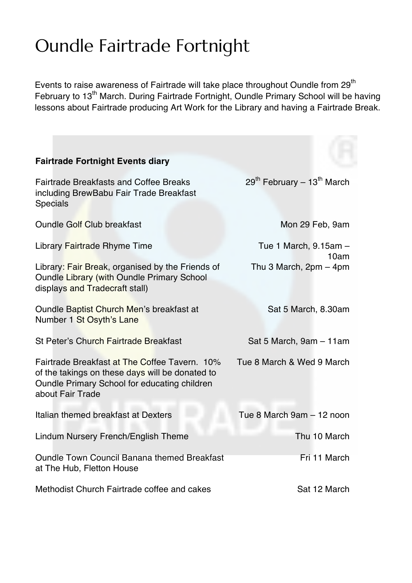# Oundle Fairtrade Fortnight

Events to raise awareness of Fairtrade will take place throughout Oundle from  $29<sup>th</sup>$ February to 13<sup>th</sup> March. During Fairtrade Fortnight, Oundle Primary School will be having lessons about Fairtrade producing Art Work for the Library and having a Fairtrade Break.

| <b>Fairtrade Fortnight Events diary</b>                                                                                                                              |                                                    |
|----------------------------------------------------------------------------------------------------------------------------------------------------------------------|----------------------------------------------------|
| <b>Fairtrade Breakfasts and Coffee Breaks</b><br>including BrewBabu Fair Trade Breakfast<br>Specials                                                                 | 29 <sup>th</sup> February - 13 <sup>th</sup> March |
| <b>Oundle Golf Club breakfast</b>                                                                                                                                    | Mon 29 Feb, 9am                                    |
| Library Fairtrade Rhyme Time                                                                                                                                         | Tue 1 March, 9.15am -<br>10am                      |
| Library: Fair Break, organised by the Friends of<br>Oundle Library (with Oundle Primary School<br>displays and Tradecraft stall)                                     | Thu 3 March, $2pm - 4pm$                           |
| Oundle Baptist Church Men's breakfast at<br>Number 1 St Osyth's Lane                                                                                                 | Sat 5 March, 8.30am                                |
| St Peter's Church Fairtrade Breakfast                                                                                                                                | Sat 5 March, 9am - 11am                            |
| Fairtrade Breakfast at The Coffee Tavern. 10%<br>of the takings on these days will be donated to<br>Oundle Primary School for educating children<br>about Fair Trade | Tue 8 March & Wed 9 March                          |
| Italian themed breakfast at Dexters                                                                                                                                  | Tue 8 March 9am - 12 noon                          |
| Lindum Nursery French/English Theme                                                                                                                                  | Thu 10 March                                       |
| <b>Oundle Town Council Banana themed Breakfast</b><br>at The Hub, Fletton House                                                                                      | Fri 11 March                                       |
| Methodist Church Fairtrade coffee and cakes                                                                                                                          | Sat 12 March                                       |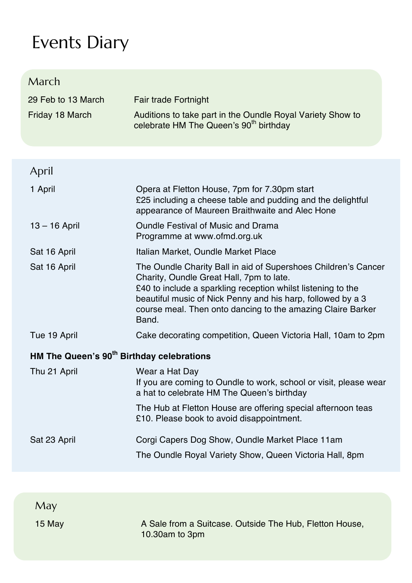# Events Diary

| March                                                 |                                                                                                                                                                                                                                                                                                                   |
|-------------------------------------------------------|-------------------------------------------------------------------------------------------------------------------------------------------------------------------------------------------------------------------------------------------------------------------------------------------------------------------|
| 29 Feb to 13 March                                    | Fair trade Fortnight                                                                                                                                                                                                                                                                                              |
| Friday 18 March                                       | Auditions to take part in the Oundle Royal Variety Show to<br>celebrate HM The Queen's 90 <sup>th</sup> birthday                                                                                                                                                                                                  |
| April                                                 |                                                                                                                                                                                                                                                                                                                   |
| 1 April                                               | Opera at Fletton House, 7pm for 7.30pm start<br>£25 including a cheese table and pudding and the delightful<br>appearance of Maureen Braithwaite and Alec Hone                                                                                                                                                    |
| $13 - 16$ April                                       | Oundle Festival of Music and Drama<br>Programme at www.ofmd.org.uk                                                                                                                                                                                                                                                |
| Sat 16 April                                          | Italian Market, Oundle Market Place                                                                                                                                                                                                                                                                               |
| Sat 16 April                                          | The Oundle Charity Ball in aid of Supershoes Children's Cancer<br>Charity, Oundle Great Hall, 7pm to late.<br>£40 to include a sparkling reception whilst listening to the<br>beautiful music of Nick Penny and his harp, followed by a 3<br>course meal. Then onto dancing to the amazing Claire Barker<br>Band. |
| Tue 19 April                                          | Cake decorating competition, Queen Victoria Hall, 10am to 2pm                                                                                                                                                                                                                                                     |
| HM The Queen's 90 <sup>th</sup> Birthday celebrations |                                                                                                                                                                                                                                                                                                                   |
| Thu 21 April                                          | Wear a Hat Day<br>If you are coming to Oundle to work, school or visit, please wear<br>a hat to celebrate HM The Queen's birthday                                                                                                                                                                                 |
|                                                       | The Hub at Fletton House are offering special afternoon teas<br>£10. Please book to avoid disappointment.                                                                                                                                                                                                         |
| Sat 23 April                                          | Corgi Capers Dog Show, Oundle Market Place 11am                                                                                                                                                                                                                                                                   |
|                                                       | The Oundle Royal Variety Show, Queen Victoria Hall, 8pm                                                                                                                                                                                                                                                           |
|                                                       |                                                                                                                                                                                                                                                                                                                   |
| May                                                   |                                                                                                                                                                                                                                                                                                                   |
| 15 May                                                | A Sale from a Suitcase. Outside The Hub, Fletton House,<br>10.30am to 3pm                                                                                                                                                                                                                                         |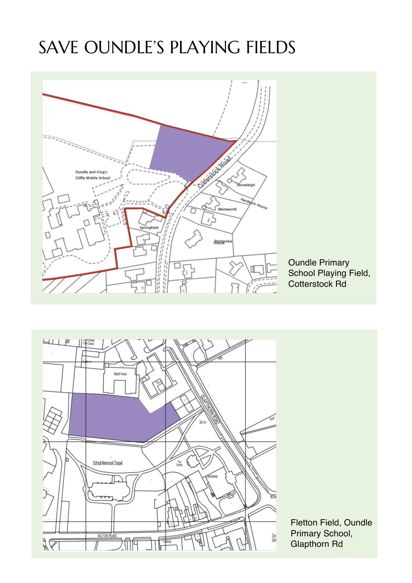# SAVE OUNDLE'S PLAYING FIELDS



Oundle Primary School Playing Field, Cotterstock Rd



Fletton Field, Oundle Primary School, Glapthorn Rd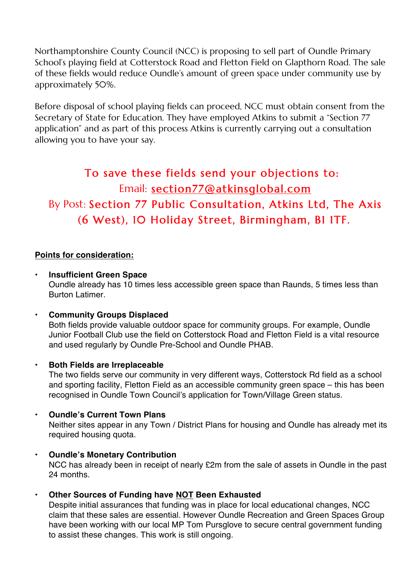Northamptonshire County Council (NCC) is proposing to sell part of Oundle Primary School's playing field at Cotterstock Road and Fletton Field on Glapthorn Road. The sale of these fields would reduce Oundle's amount of green space under community use by approximately 50%.

Before disposal of school playing fields can proceed, NCC must obtain consent from the Secretary of State for Education. They have employed Atkins to submit a "Section 77 application" and as part of this process Atkins is currently carrying out a consultation allowing you to have your say.

#### To save these fields send your objections to: Email: section77@atkinsglobal.com By Post: Section 77 Public Consultation, Atkins Ltd, The Axis (6 West), 10 Holiday Street, Birmingham, B1 1TF.

#### **Points for consideration:**

- **Insufficient Green Space**  Oundle already has 10 times less accessible green space than Raunds, 5 times less than Burton Latimer.
- **Community Groups Displaced** Both fields provide valuable outdoor space for community groups. For example, Oundle Junior Football Club use the field on Cotterstock Road and Fletton Field is a vital resource and used regularly by Oundle Pre-School and Oundle PHAB.
- **Both Fields are Irreplaceable**

The two fields serve our community in very different ways, Cotterstock Rd field as a school and sporting facility, Fletton Field as an accessible community green space – this has been recognised in Oundle Town Council's application for Town/Village Green status.

• **Oundle's Current Town Plans** 

Neither sites appear in any Town / District Plans for housing and Oundle has already met its required housing quota.

- **Oundle's Monetary Contribution**  NCC has already been in receipt of nearly £2m from the sale of assets in Oundle in the past 24 months.
- **Other Sources of Funding have NOT Been Exhausted**

Despite initial assurances that funding was in place for local educational changes, NCC claim that these sales are essential. However Oundle Recreation and Green Spaces Group have been working with our local MP Tom Pursglove to secure central government funding to assist these changes. This work is still ongoing.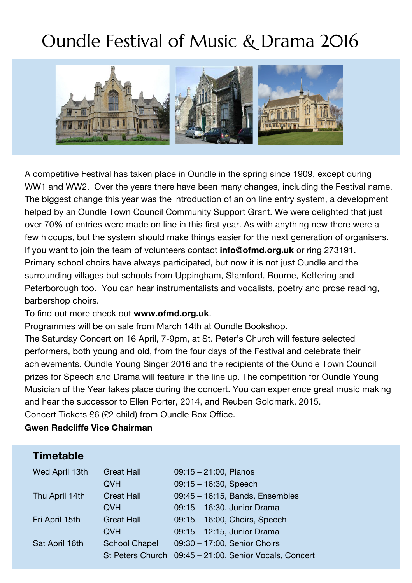# Oundle Festival of Music & Drama 2016



A competitive Festival has taken place in Oundle in the spring since 1909, except during WW1 and WW2. Over the years there have been many changes, including the Festival name. The biggest change this year was the introduction of an on line entry system, a development helped by an Oundle Town Council Community Support Grant. We were delighted that just over 70% of entries were made on line in this first year. As with anything new there were a few hiccups, but the system should make things easier for the next generation of organisers. If you want to join the team of volunteers contact **info@ofmd.org.uk** or ring 273191. Primary school choirs have always participated, but now it is not just Oundle and the surrounding villages but schools from Uppingham, Stamford, Bourne, Kettering and Peterborough too. You can hear instrumentalists and vocalists, poetry and prose reading, barbershop choirs.

#### To find out more check out **www.ofmd.org.uk**.

Programmes will be on sale from March 14th at Oundle Bookshop.

The Saturday Concert on 16 April, 7-9pm, at St. Peter's Church will feature selected performers, both young and old, from the four days of the Festival and celebrate their achievements. Oundle Young Singer 2016 and the recipients of the Oundle Town Council prizes for Speech and Drama will feature in the line up. The competition for Oundle Young Musician of the Year takes place during the concert. You can experience great music making and hear the successor to Ellen Porter, 2014, and Reuben Goldmark, 2015. Concert Tickets £6 (£2 child) from Oundle Box Office.

#### **Gwen Radcliffe Vice Chairman**

#### **Timetable**

| Wed April 13th | <b>Great Hall</b>       | $09:15 - 21:00$ , Pianos              |
|----------------|-------------------------|---------------------------------------|
|                | <b>OVH</b>              | $09:15 - 16:30$ , Speech              |
| Thu April 14th | <b>Great Hall</b>       | 09:45 - 16:15, Bands, Ensembles       |
|                | <b>OVH</b>              | 09:15 - 16:30, Junior Drama           |
| Fri April 15th | <b>Great Hall</b>       | 09:15 - 16:00, Choirs, Speech         |
|                | <b>OVH</b>              | 09:15 - 12:15, Junior Drama           |
| Sat April 16th | <b>School Chapel</b>    | 09:30 - 17:00, Senior Choirs          |
|                | <b>St Peters Church</b> | 09:45 - 21:00, Senior Vocals, Concert |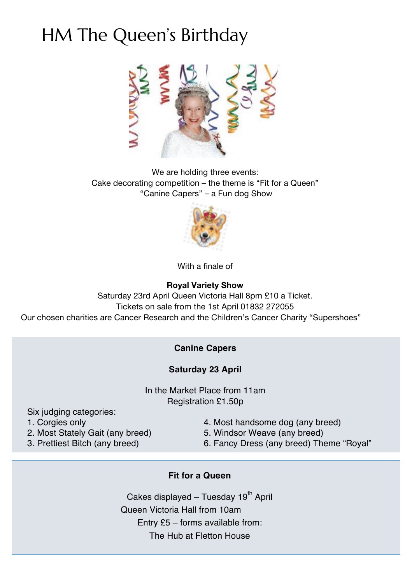# HM The Queen's Birthday



We are holding three events: Cake decorating competition – the theme is "Fit for a Queen" "Canine Capers" – a Fun dog Show



With a finale of

#### **Royal Variety Show**

Saturday 23rd April Queen Victoria Hall 8pm £10 a Ticket. Tickets on sale from the 1st April 01832 272055 Our chosen charities are Cancer Research and the Children's Cancer Charity "Supershoes"

#### **Canine Capers**

#### **Saturday 23 April**

In the Market Place from 11am Registration £1.50p

Six judging categories:

- 
- 2. Most Stately Gait (any breed) 5. Windsor Weave (any breed)
- 1. Corgies only 4. Most handsome dog (any breed)
	-
- 3. Prettiest Bitch (any breed) 6. Fancy Dress (any breed) Theme "Royal"
- 

#### **Fit for a Queen**

Cakes displayed – Tuesday  $19<sup>th</sup>$  April Queen Victoria Hall from 10am Entry £5 – forms available from: The Hub at Fletton House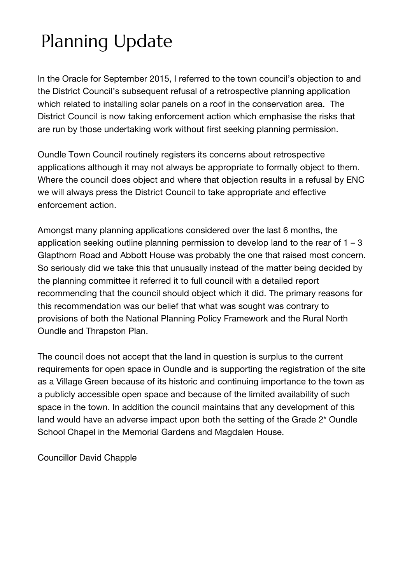# Planning Update

In the Oracle for September 2015, I referred to the town council's objection to and the District Council's subsequent refusal of a retrospective planning application which related to installing solar panels on a roof in the conservation area. The District Council is now taking enforcement action which emphasise the risks that are run by those undertaking work without first seeking planning permission.

Oundle Town Council routinely registers its concerns about retrospective applications although it may not always be appropriate to formally object to them. Where the council does object and where that objection results in a refusal by ENC we will always press the District Council to take appropriate and effective enforcement action.

Amongst many planning applications considered over the last 6 months, the application seeking outline planning permission to develop land to the rear of  $1 - 3$ Glapthorn Road and Abbott House was probably the one that raised most concern. So seriously did we take this that unusually instead of the matter being decided by the planning committee it referred it to full council with a detailed report recommending that the council should object which it did. The primary reasons for this recommendation was our belief that what was sought was contrary to provisions of both the National Planning Policy Framework and the Rural North Oundle and Thrapston Plan.

The council does not accept that the land in question is surplus to the current requirements for open space in Oundle and is supporting the registration of the site as a Village Green because of its historic and continuing importance to the town as a publicly accessible open space and because of the limited availability of such space in the town. In addition the council maintains that any development of this land would have an adverse impact upon both the setting of the Grade 2\* Oundle School Chapel in the Memorial Gardens and Magdalen House.

Councillor David Chapple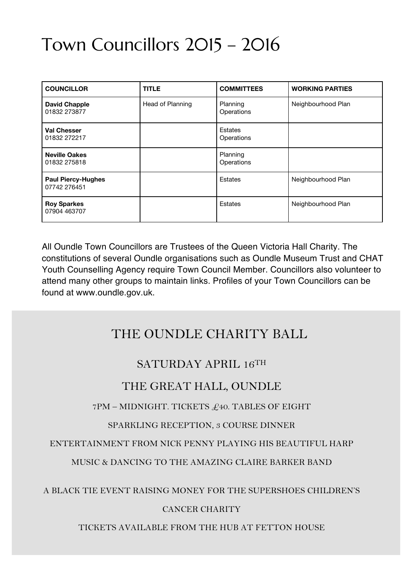# Town Councillors 2015 – 2016

| <b>COUNCILLOR</b>                         | <b>TITLE</b>     | <b>COMMITTEES</b>            | <b>WORKING PARTIES</b> |
|-------------------------------------------|------------------|------------------------------|------------------------|
| <b>David Chapple</b><br>01832 273877      | Head of Planning | Planning<br>Operations       | Neighbourhood Plan     |
| Val Chesser<br>01832 272217               |                  | <b>Estates</b><br>Operations |                        |
| <b>Neville Oakes</b><br>01832 275818      |                  | Planning<br>Operations       |                        |
| <b>Paul Piercy-Hughes</b><br>07742 276451 |                  | <b>Estates</b>               | Neighbourhood Plan     |
| <b>Roy Sparkes</b><br>07904 463707        |                  | Estates                      | Neighbourhood Plan     |

All Oundle Town Councillors are Trustees of the Queen Victoria Hall Charity. The constitutions of several Oundle organisations such as Oundle Museum Trust and CHAT Youth Counselling Agency require Town Council Member. Councillors also volunteer to attend many other groups to maintain links. Profiles of your Town Councillors can be found at www.oundle.gov.uk.

#### THE OUNDLE CHARITY BALL

#### SATURDAY APRIL 16TH

#### THE GREAT HALL, OUNDLE

7PM – MIDNIGHT. TICKETS £40. TABLES OF EIGHT

#### SPARKLING RECEPTION, 3 COURSE DINNER

ENTERTAINMENT FROM NICK PENNY PLAYING HIS BEAUTIFUL HARP

MUSIC & DANCING TO THE AMAZING CLAIRE BARKER BAND

A BLACK TIE EVENT RAISING MONEY FOR THE SUPERSHOES CHILDREN'S

#### CANCER CHARITY

TICKETS AVAILABLE FROM THE HUB AT FETTON HOUSE